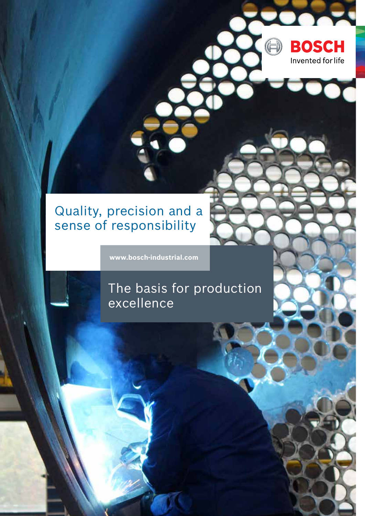### Quality, precision and a sense of responsibility

**www.bosch-industrial.com**

#### The basis for production excellence

**BOSCH** 

Invented for life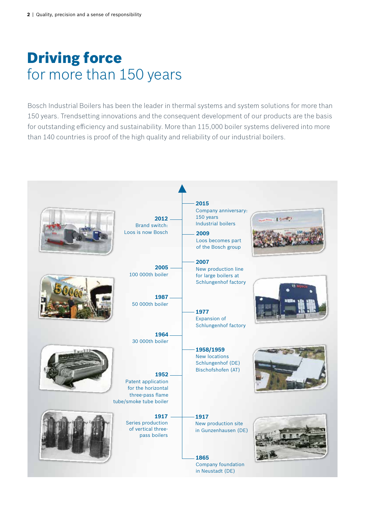# Driving force for more than 150 years

Bosch Industrial Boilers has been the leader in thermal systems and system solutions for more than 150 years. Trendsetting innovations and the consequent development of our products are the basis for outstanding efficiency and sustainability. More than 115,000 boiler systems delivered into more than 140 countries is proof of the high quality and reliability of our industrial boilers.

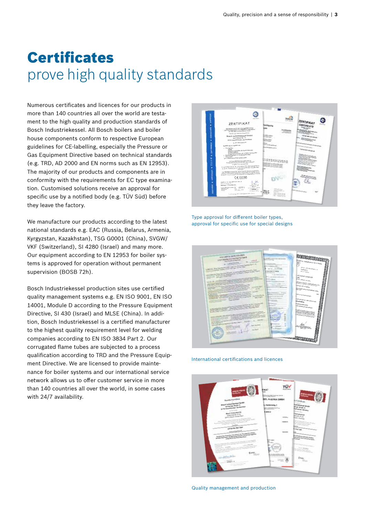## **Certificates** prove high quality standards

Numerous certificates and licences for our products in more than 140 countries all over the world are testament to the high quality and production standards of Bosch Industriekessel. All Bosch boilers and boiler house components conform to respective European guidelines for CE-labelling, especially the Pressure or Gas Equipment Directive based on technical standards (e.g. TRD, AD 2000 and EN norms such as EN 12953). The majority of our products and components are in conformity with the requirements for EC type examination. Customised solutions receive an approval for specific use by a notified body (e.g. TÜV Süd) before they leave the factory.

We manufacture our products according to the latest national standards e.g. EAC (Russia, Belarus, Armenia, Kyrgyzstan, Kazakhstan), TSG G0001 (China), SVGW/ VKF (Switzerland), SI 4280 (Israel) and many more. Our equipment according to EN 12953 for boiler systems is approved for operation without permanent supervision (BOSB 72h).

Bosch Industriekessel production sites use certified quality management systems e.g. EN ISO 9001, EN ISO 14001, Module D according to the Pressure Equipment Directive, SI 430 (Israel) and MLSE (China). In addition, Bosch Industriekessel is a certified manufacturer to the highest quality requirement level for welding companies according to EN ISO 3834 Part 2. Our corrugated flame tubes are subjected to a process qualification according to TRD and the Pressure Equipment Directive. We are licensed to provide maintenance for boiler systems and our international service network allows us to offer customer service in more than 140 countries all over the world, in some cases with 24/7 availability.



Type approval for different boiler types, approval for specific use for special designs



International certifications and licences



Quality management and production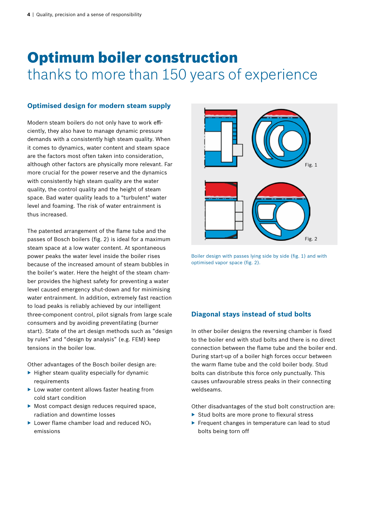## Optimum boiler construction thanks to more than 150 years of experience

#### **Optimised design for modern steam supply**

Modern steam boilers do not only have to work efficiently, they also have to manage dynamic pressure demands with a consistently high steam quality. When it comes to dynamics, water content and steam space are the factors most often taken into consideration, although other factors are physically more relevant. Far more crucial for the power reserve and the dynamics with consistently high steam quality are the water quality, the control quality and the height of steam space. Bad water quality leads to a "turbulent" water level and foaming. The risk of water entrainment is thus increased.

The patented arrangement of the flame tube and the passes of Bosch boilers (fig. 2) is ideal for a maximum steam space at a low water content. At spontaneous power peaks the water level inside the boiler rises because of the increased amount of steam bubbles in the boiler's water. Here the height of the steam chamber provides the highest safety for preventing a water level caused emergency shut-down and for minimising water entrainment. In addition, extremely fast reaction to load peaks is reliably achieved by our intelligent three-component control, pilot signals from large scale consumers and by avoiding preventilating (burner start). State of the art design methods such as "design by rules" and "design by analysis" (e.g. FEM) keep tensions in the boiler low.

Other advantages of the Bosch boiler design are:

- $\blacktriangleright$  Higher steam quality especially for dynamic requirements
- ▶ Low water content allows faster heating from cold start condition
- ▶ Most compact design reduces required space, radiation and downtime losses
- $\blacktriangleright$  Lower flame chamber load and reduced NO<sub>x</sub> emissions



Boiler design with passes lying side by side (fig. 1) and with optimised vapor space (fig. 2).

#### **Diagonal stays instead of stud bolts**

In other boiler designs the reversing chamber is fixed to the boiler end with stud bolts and there is no direct connection between the flame tube and the boiler end. During start-up of a boiler high forces occur between the warm flame tube and the cold boiler body. Stud bolts can distribute this force only punctually. This causes unfavourable stress peaks in their connecting weldseams.

Other disadvantages of the stud bolt construction are:

- ▶ Stud bolts are more prone to flexural stress
- ▶ Frequent changes in temperature can lead to stud bolts being torn off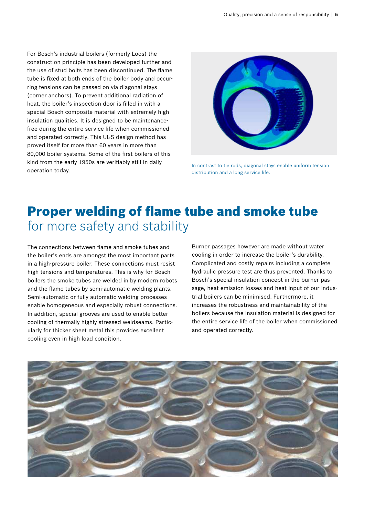For Bosch's industrial boilers (formerly Loos) the construction principle has been developed further and the use of stud bolts has been discontinued. The flame tube is fixed at both ends of the boiler body and occurring tensions can be passed on via diagonal stays (corner anchors). To prevent additional radiation of heat, the boiler's inspection door is filled in with a special Bosch composite material with extremely high insulation qualities. It is designed to be maintenancefree during the entire service life when commissioned and operated correctly. This UL-S design method has proved itself for more than 60 years in more than 80,000 boiler systems. Some of the first boilers of this kind from the early 1950s are verifiably still in daily operation today.



In contrast to tie rods, diagonal stays enable uniform tension distribution and a long service life.

### Proper welding of flame tube and smoke tube for more safety and stability

The connections between flame and smoke tubes and the boiler's ends are amongst the most important parts in a high-pressure boiler. These connections must resist high tensions and temperatures. This is why for Bosch boilers the smoke tubes are welded in by modern robots and the flame tubes by semi-automatic welding plants. Semi-automatic or fully automatic welding processes enable homogeneous and especially robust connections. In addition, special grooves are used to enable better cooling of thermally highly stressed weldseams. Particularly for thicker sheet metal this provides excellent cooling even in high load condition.

Burner passages however are made without water cooling in order to increase the boiler's durability. Complicated and costly repairs including a complete hydraulic pressure test are thus prevented. Thanks to Bosch's special insulation concept in the burner passage, heat emission losses and heat input of our industrial boilers can be minimised. Furthermore, it increases the robustness and maintainability of the boilers because the insulation material is designed for the entire service life of the boiler when commissioned and operated correctly.

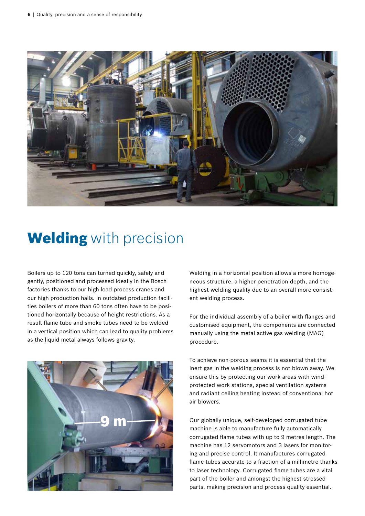

### **Welding** with precision

Boilers up to 120 tons can turned quickly, safely and gently, positioned and processed ideally in the Bosch factories thanks to our high load process cranes and our high production halls. In outdated production facilities boilers of more than 60 tons often have to be positioned horizontally because of height restrictions. As a result flame tube and smoke tubes need to be welded in a vertical position which can lead to quality problems as the liquid metal always follows gravity.



Welding in a horizontal position allows a more homogeneous structure, a higher penetration depth, and the highest welding quality due to an overall more consistent welding process.

For the individual assembly of a boiler with flanges and customised equipment, the components are connected manually using the metal active gas welding (MAG) procedure.

To achieve non-porous seams it is essential that the inert gas in the welding process is not blown away. We ensure this by protecting our work areas with windprotected work stations, special ventilation systems and radiant ceiling heating instead of conventional hot air blowers.

Our globally unique, self-developed corrugated tube machine is able to manufacture fully automatically corrugated flame tubes with up to 9 metres length. The machine has 12 servomotors and 3 lasers for monitoring and precise control. It manufactures corrugated flame tubes accurate to a fraction of a millimetre thanks to laser technology. Corrugated flame tubes are a vital part of the boiler and amongst the highest stressed parts, making precision and process quality essential.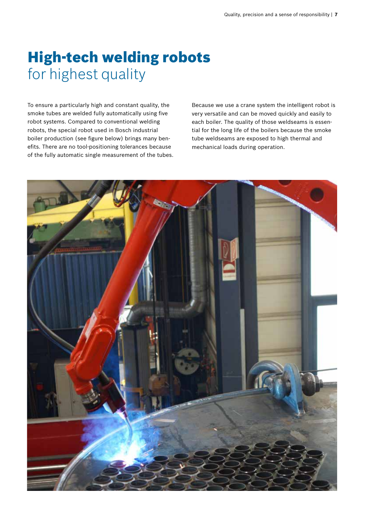# High-tech welding robots for highest quality

To ensure a particularly high and constant quality, the smoke tubes are welded fully automatically using five robot systems. Compared to conventional welding robots, the special robot used in Bosch industrial boiler production (see figure below) brings many benefits. There are no tool-positioning tolerances because of the fully automatic single measurement of the tubes.

Because we use a crane system the intelligent robot is very versatile and can be moved quickly and easily to each boiler. The quality of those weldseams is essential for the long life of the boilers because the smoke tube weldseams are exposed to high thermal and mechanical loads during operation.

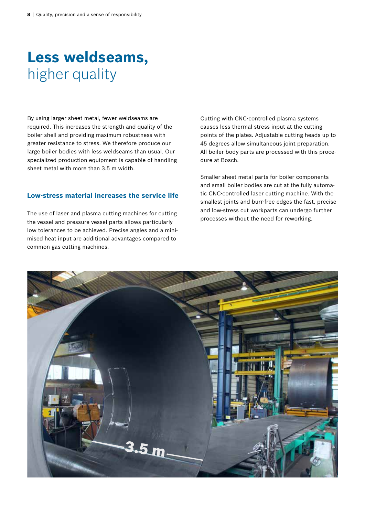## **Less weldseams,**  higher quality

By using larger sheet metal, fewer weldseams are required. This increases the strength and quality of the boiler shell and providing maximum robustness with greater resistance to stress. We therefore produce our large boiler bodies with less weldseams than usual. Our specialized production equipment is capable of handling sheet metal with more than 3.5 m width.

#### **Low-stress material increases the service life**

The use of laser and plasma cutting machines for cutting the vessel and pressure vessel parts allows particularly low tolerances to be achieved. Precise angles and a minimised heat input are additional advantages compared to common gas cutting machines.

Cutting with CNC-controlled plasma systems causes less thermal stress input at the cutting points of the plates. Adjustable cutting heads up to 45 degrees allow simultaneous joint preparation. All boiler body parts are processed with this procedure at Bosch.

Smaller sheet metal parts for boiler components and small boiler bodies are cut at the fully automatic CNC-controlled laser cutting machine. With the smallest joints and burr-free edges the fast, precise and low-stress cut workparts can undergo further processes without the need for reworking.

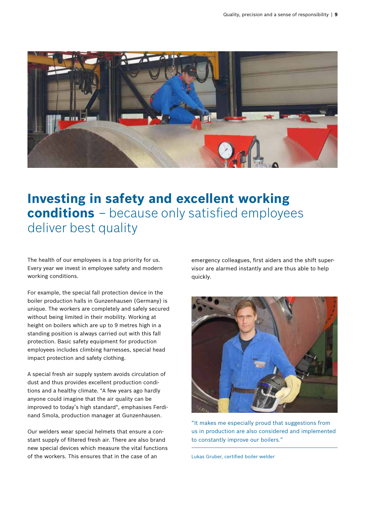

#### **Investing in safety and excellent working conditions** – because only satisfied employees deliver best quality

The health of our employees is a top priority for us. Every year we invest in employee safety and modern working conditions.

For example, the special fall protection device in the boiler production halls in Gunzenhausen (Germany) is unique. The workers are completely and safely secured without being limited in their mobility. Working at height on boilers which are up to 9 metres high in a standing position is always carried out with this fall protection. Basic safety equipment for production employees includes climbing harnesses, special head impact protection and safety clothing.

A special fresh air supply system avoids circulation of dust and thus provides excellent production conditions and a healthy climate. "A few years ago hardly anyone could imagine that the air quality can be improved to today's high standard", emphasises Ferdinand Smola, production manager at Gunzenhausen.

Our welders wear special helmets that ensure a constant supply of filtered fresh air. There are also brand new special devices which measure the vital functions of the workers. This ensures that in the case of an

emergency colleagues, first aiders and the shift supervisor are alarmed instantly and are thus able to help quickly.



"It makes me especially proud that suggestions from us in production are also considered and implemented to constantly improve our boilers."

Lukas Gruber, certified boiler welder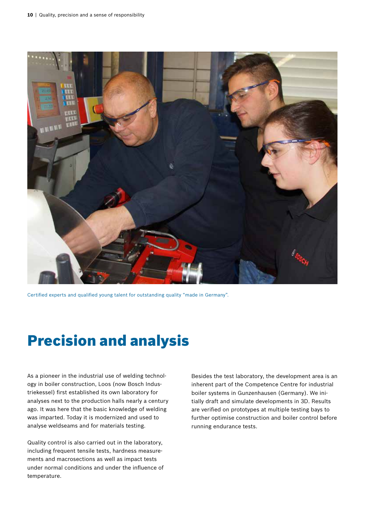

Certified experts and qualified young talent for outstanding quality "made in Germany".

## Precision and analysis

As a pioneer in the industrial use of welding technology in boiler construction, Loos (now Bosch Industriekessel) first established its own laboratory for analyses next to the production halls nearly a century ago. It was here that the basic knowledge of welding was imparted. Today it is modernized and used to analyse weldseams and for materials testing.

Quality control is also carried out in the laboratory, including frequent tensile tests, hardness measurements and macrosections as well as impact tests under normal conditions and under the influence of temperature.

Besides the test laboratory, the development area is an inherent part of the Competence Centre for industrial boiler systems in Gunzenhausen (Germany). We initially draft and simulate developments in 3D. Results are verified on prototypes at multiple testing bays to further optimise construction and boiler control before running endurance tests.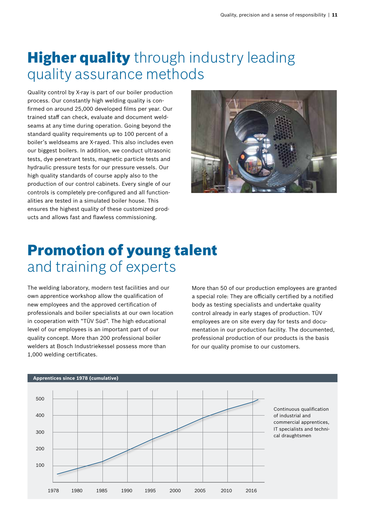# **Higher quality** through industry leading quality assurance methods

Quality control by X-ray is part of our boiler production process. Our constantly high welding quality is confirmed on around 25,000 developed films per year. Our trained staff can check, evaluate and document weldseams at any time during operation. Going beyond the standard quality requirements up to 100 percent of a boiler's weldseams are X-rayed. This also includes even our biggest boilers. In addition, we conduct ultrasonic tests, dye penetrant tests, magnetic particle tests and hydraulic pressure tests for our pressure vessels. Our high quality standards of course apply also to the production of our control cabinets. Every single of our controls is completely pre-configured and all functionalities are tested in a simulated boiler house. This ensures the highest quality of these customized products and allows fast and flawless commissioning.



# Promotion of young talent and training of experts

The welding laboratory, modern test facilities and our own apprentice workshop allow the qualification of new employees and the approved certification of professionals and boiler specialists at our own location in cooperation with "TÜV Süd". The high educational level of our employees is an important part of our quality concept. More than 200 professional boiler welders at Bosch Industriekessel possess more than 1,000 welding certificates.

More than 50 of our production employees are granted a special role: They are officially certified by a notified body as testing specialists and undertake quality control already in early stages of production. TÜV employees are on site every day for tests and documentation in our production facility. The documented, professional production of our products is the basis for our quality promise to our customers.



#### **Apprentices since 1978 (cumulative)**

Continuous qualification of industrial and commercial apprentices, IT specialists and technical draughtsmen